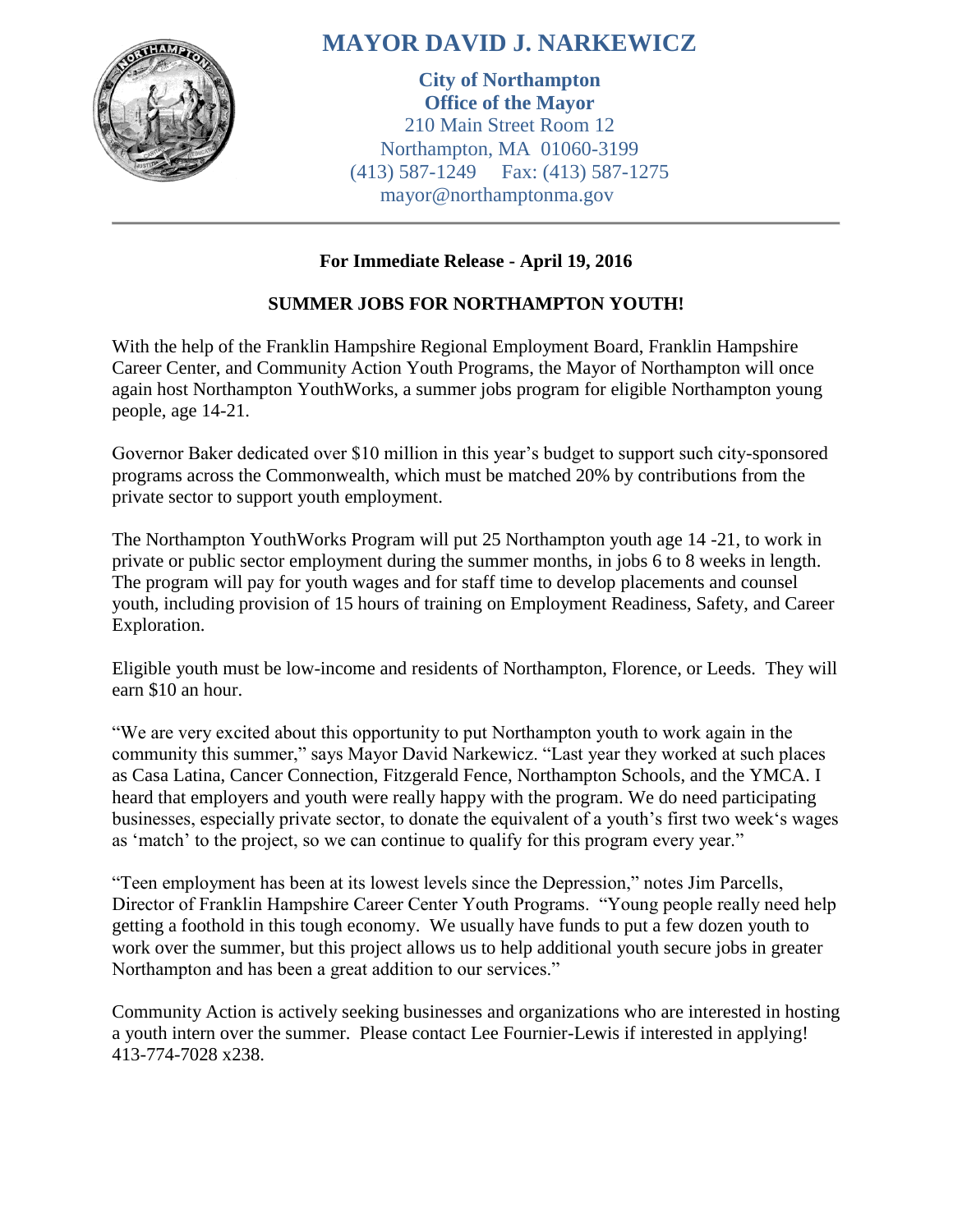

## **MAYOR DAVID J. NARKEWICZ**

**City of Northampton Office of the Mayor** 210 Main Street Room 12 Northampton, MA 01060-3199 (413) 587-1249 Fax: (413) 587-1275 mayor@northamptonma.gov

## **For Immediate Release - April 19, 2016**

## **SUMMER JOBS FOR NORTHAMPTON YOUTH!**

With the help of the Franklin Hampshire Regional Employment Board, Franklin Hampshire Career Center, and Community Action Youth Programs, the Mayor of Northampton will once again host Northampton YouthWorks, a summer jobs program for eligible Northampton young people, age 14-21.

Governor Baker dedicated over \$10 million in this year's budget to support such city-sponsored programs across the Commonwealth, which must be matched 20% by contributions from the private sector to support youth employment.

The Northampton YouthWorks Program will put 25 Northampton youth age 14 -21, to work in private or public sector employment during the summer months, in jobs 6 to 8 weeks in length. The program will pay for youth wages and for staff time to develop placements and counsel youth, including provision of 15 hours of training on Employment Readiness, Safety, and Career Exploration.

Eligible youth must be low-income and residents of Northampton, Florence, or Leeds. They will earn \$10 an hour.

"We are very excited about this opportunity to put Northampton youth to work again in the community this summer," says Mayor David Narkewicz. "Last year they worked at such places as Casa Latina, Cancer Connection, Fitzgerald Fence, Northampton Schools, and the YMCA. I heard that employers and youth were really happy with the program. We do need participating businesses, especially private sector, to donate the equivalent of a youth's first two week's wages as 'match' to the project, so we can continue to qualify for this program every year."

"Teen employment has been at its lowest levels since the Depression," notes Jim Parcells, Director of Franklin Hampshire Career Center Youth Programs. "Young people really need help getting a foothold in this tough economy. We usually have funds to put a few dozen youth to work over the summer, but this project allows us to help additional youth secure jobs in greater Northampton and has been a great addition to our services."

Community Action is actively seeking businesses and organizations who are interested in hosting a youth intern over the summer. Please contact Lee Fournier-Lewis if interested in applying! 413-774-7028 x238.